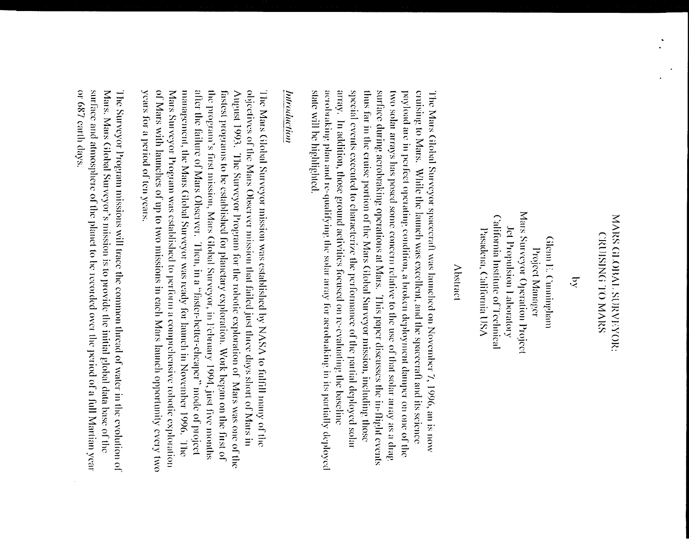# MARS GLOBAL SURVEYOR: **CRUBING TO MARS**

ट्

Mars Surveyor Operation Project California Institute of Technical Jet Propulsion Laboratory Pasadena, California USA Glenn E. Cumingham Project Manager

### Abstract

state will be highlighted. acrobraking plan and re-qualifying the solar array for acrobraking in its partially deployed array. In addition, those ground activities focused on re-evaluating the baseline special events executed to characterize the performance of the partial deployed solar thus far in the cruise portion of the Mars Global Surveyor mission, including those surface during aerobraking operations at Mars. This paper discusses the in-flight events two solar arrays has posed some concern relative to the use of that solar array as a drag payload are in perfect operating condition, a broken deployment damper on one of the eruising to Mars. While the launch was excellent, and the spacecraft and its science The Mars Global Surveyor spacecraft was launched on November 7, 1996, an is now

## Introduction

of Mars with launches of up to two missions in each Mars launch opportunity every two objectives of the Mars Observer mission that failed just three days short of Mars in years for a period of ten years. Mars Surveyor Program was established to perform a comprehensive robotic exploration management, the Mars Global Surveyor was ready for launch in November 1996. The after the failure of Mars Observer. Then, in a "faster-better-cheaper" mode of project the program's first mission, Mars Global Surveyor, in February 1994, just five months fastest programs to be established for planetary exploration. Work began on the first of August 1993. The Surveyor Program for the robotic exploration of Mars was one of the The Mars Global Surveyor mission was established by NASA to fulfill many of the

or 687 carth days. surface and atmosphere of the planet to be recorded over the period of a full Martian year Mars. Mars Global Surveyor's mission is to provide the initial global data base of the The Surveyor Program missions will trace the common thread of water in the evolution of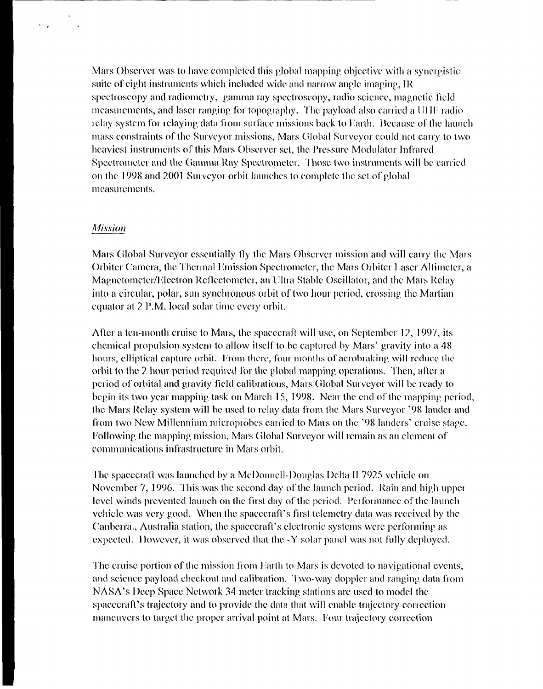Mars Observer was to have completed this global mapping objective with a synergistic suite of eight instruments which included wide and narrow angle imaging, IR spectroscopy and radiometry, gamma ray spectroscopy, radio science, magnetic field measurements, and laser ranging for topography. The payload also carried a UHF radio relay system for relaying data from surface missions back to Earth. Because of the launch mass constraints of the Surveyor missions, Mars Global Surveyor could not carry to two heaviest instruments of this Mars Observer set, the Pressure Modulator Infrared Spectrometer and the Gamma Ray Spectrometer. Those two instruments will be carried on the 1998 and 2001 Surveyor orbit launches to complete the set of global measurements.

#### **Mission**

 $\mathcal{L}(\mathcal{L})$  and  $\mathcal{L}(\mathcal{L})$ 

Mars Global Surveyor essentially fly the Mars Observer mission and will carry the Mars Orbiter Camera, the Thermal Emission Spectrometer, the Mars Orbiter Laser Altimeter, a Magnetometer/Electron Reflectometer, an Ultra Stable Oscillator, and the Mars Relay into a circular, polar, sun synchronous orbit of two hour period, crossing the Martian equator at 2 P.M. local solar time every orbit.

After a ten-month cruise to Mars, the spacecraft will use, on September 12, 1997, its chemical propulsion system to allow itself to be captured by Mars' gravity into a 48 hours, elliptical capture orbit. From there, four months of aerobraking will reduce the orbit to the 2 hour period required for the global mapping operations. Then, after a period of orbital and gravity field calibrations, Mars Global Surveyor will be ready to begin its two year mapping task on March 15, 1998. Near the end of the mapping period, the Mars Relay system will be used to relay data from the Mars Surveyor '98 lander and from two New Millennium microprobes carried to Mars on the '98 landers' cruise stage. Following the mapping mission, Mars Global Surveyor will remain as an element of communications infrastructure in Mars orbit.

The spacecraft was launched by a McDonnell-Douglas Delta II 7925 vehicle on November 7, 1996. This was the second day of the launch period. Rain and high upper level winds prevented launch on the first day of the period. Performance of the launch vehicle was very good. When the spacecraft's first telemetry data was received by the Canberra., Australia station, the spacecraft's electronic systems were performing as expected. However, it was observed that the -Y solar panel was not fully deployed.

The cruise portion of the mission from Earth to Mars is devoted to navigational events, and science payload checkout and calibration. Two-way doppler and ranging data from NASA's Deep Space Network 34 meter tracking stations are used to model the spacecraft's trajectory and to provide the data that will enable trajectory correction maneuvers to target the proper arrival point at Mars. Four trajectory correction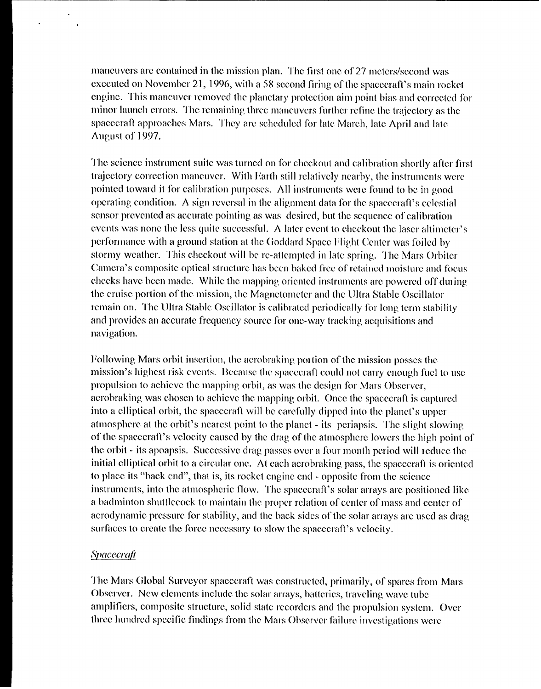maneuvers are contained in the mission plan. The first one of 27 meters/second was executed on November 21, 1996, with a 58 second firing of the spacecraft's main rocket engine. This maneuver removed the planetary protection aim point bias and corrected for minor launch errors. The remaining three maneuvers further refine the trajectory as the spacecraft approaches Mars. They are scheduled for late March, late April and late August of 1997.

The science instrument suite was turned on for checkout and calibration shortly after first trajectory correction maneuver. With Earth still relatively nearby, the instruments were pointed toward it for calibration purposes. All instruments were found to be in good operating condition. A sign reversal in the alignment data for the spacecraft's celestial sensor prevented as accurate pointing as was desired, but the sequence of calibration events was none the less quite successful. A later event to checkout the laser altimeter's performance with a ground station at the Goddard Space Flight Center was foiled by stormy weather. This checkout will be re-attempted in late spring. The Mars Orbiter Camera's composite optical structure has been baked free of retained moisture and focus checks have been made. While the mapping oriented instruments are powered off during the cruise portion of the mission, the Magnetometer and the Ultra Stable Oscillator remain on. The Ultra Stable Oscillator is calibrated periodically for long term stability and provides an accurate frequency source for one-way tracking acquisitions and navigation.

Following Mars orbit insertion, the acrobraking portion of the mission posses the mission's highest risk events. Because the spacecraft could not carry enough fuel to use propulsion to achieve the mapping orbit, as was the design for Mars Observer, acrobraking was chosen to achieve the mapping orbit. Once the spacecraft is captured into a elliptical orbit, the spacecraft will be carefully dipped into the planet's upper atmosphere at the orbit's nearest point to the planet - its periapsis. The slight slowing of the spacecraft's velocity caused by the drag of the atmosphere lowers the high point of the orbit  $\cdot$  its apoapsis. Successive drag passes over a four month period will reduce the initial elliptical orbit to a circular one. At each acrobraking pass, the spacecraft is oriented to place its "back end", that is, its rocket engine end - opposite from the science instruments, into the atmospheric flow. The spacecraft's solar arrays are positioned like a badminton shuttlecock to maintain the proper relation of center of mass and center of aerodynamic pressure for stability, and the back sides of the solar arrays are used as drag surfaces to create the force necessary to slow the spacecraft's velocity.

#### Spacecraft

The Mars Global Surveyor spacecraft was constructed, primarily, of spares from Mars Observer. New elements include the solar arrays, batteries, traveling wave tube amplificrs, composite structure, solid state recorders and the propulsion system. Over three hundred specific findings from the Mars Observer failure investigations were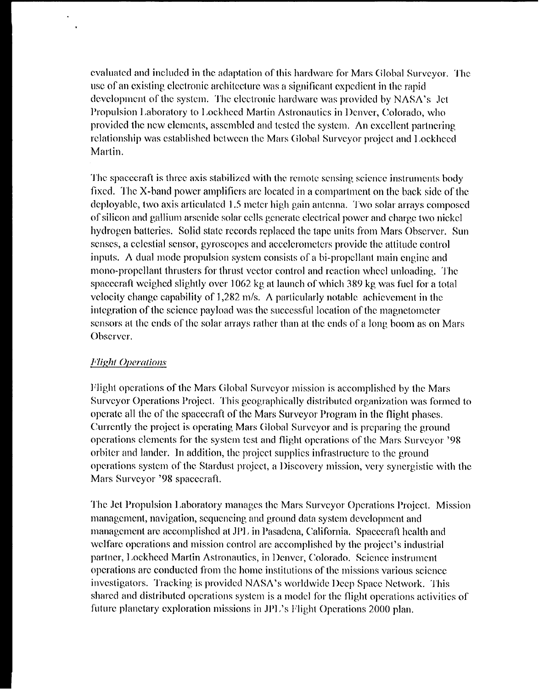cvaluated and included in the adaptation of this hardware for Mars Global Surveyor. The use of an existing electronic architecture was a significant expedient in the rapid development of the system. The electronic hardware was provided by NASA's Jet Propulsion Laboratory to Lockheed Martin Astronautics in Denver, Colorado, who provided the new elements, assembled and tested the system. An excellent partnering relationship was established between the Mars Global Surveyor project and Lockheed Martin.

The spacecraft is three axis stabilized with the remote sensing science instruments body fixed. The X-band power amplifiers are located in a compartment on the back side of the deployable, two axis articulated 1.5 meter high gain antenna. Two solar arrays composed of silicon and gallium arsenide solar cells gcncratc electrical power and charge two nickc] hydrogen batteries. Solid state records replaced the tape units from Mars Observer. Sun senses, a celestial sensor, gyroscopes and accelerometers provide the attitude control inputs. A dual mode propulsion system consists of a bi-propellant main engine and mono-propellant thrusters for thrust vector control and reaction wheel unloading. The spacecraft weighed slightly over 1062 kg at launch of which 389 kg was fuel for a total velocity change capability of 1,282 m/s. A particularly notable achievement in the integration of the science payload was the successful location of the magnetometer sensors at the ends of the solar arrays rather than at the ends of a long boom as on Mars Observer.

#### *<i>Flight Operations*

Flight operations of the Mars Global Surveyor mission is accomplished by the Mars Surveyor Operations Project. This geographically distributed organization was formed to operate all the of the spacecraft of the Mars Surveyor Program in the flight phases. Currently the project is operating Mars Global Surveyor and is preparing the ground operations clcmcnts for the systcm test and flight operations of the Mars Surveyor '98 orbiter and lander. In addition, the project supplies infrastructure to the ground operations system of the Stardust project, a Discovery mission, very synergistic with the Mars Surveyor '98 spacecraft.

The Jet Propulsion Laboratory manages the Mars Surveyor Operations Project. Mission management, navigation, sequencing and ground data system development and management are accomplished at JPL in Pasadena, California. Spacecraft health and welfare operations and mission control are accomplished by the project's industrial partner, Lockheed Martin Astronautics, in Denver, Colorado. Science instrument operations arc conducted from the home institutions of the missions various scicncc investigators. Tracking is provided NASA's worldwide Deep Space Network. This shared and distributed operations system is a model for the flight operations activities of future planetary exploration missions in JPL's Flight Operations 2000 plan.